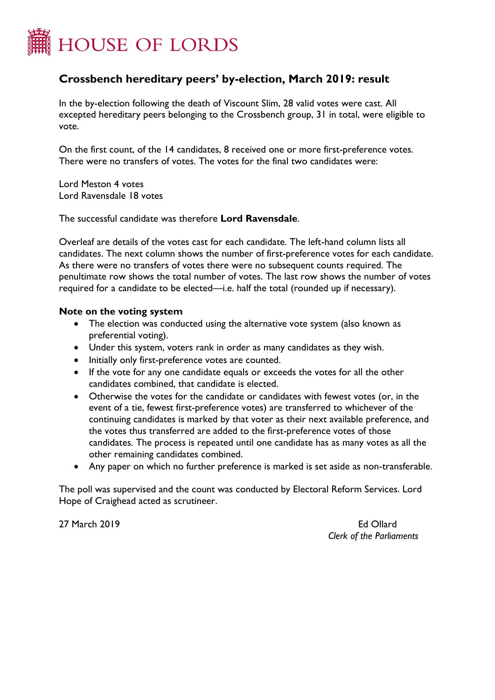

## **Crossbench hereditary peers' by-election, March 2019: result**

In the by-election following the death of Viscount Slim, 28 valid votes were cast. All excepted hereditary peers belonging to the Crossbench group, 31 in total, were eligible to vote.

On the first count, of the 14 candidates, 8 received one or more first-preference votes. There were no transfers of votes. The votes for the final two candidates were:

Lord Meston 4 votes Lord Ravensdale 18 votes

The successful candidate was therefore **Lord Ravensdale**.

Overleaf are details of the votes cast for each candidate. The left-hand column lists all candidates. The next column shows the number of first-preference votes for each candidate. As there were no transfers of votes there were no subsequent counts required. The penultimate row shows the total number of votes. The last row shows the number of votes required for a candidate to be elected—i.e. half the total (rounded up if necessary).

## **Note on the voting system**

- The election was conducted using the alternative vote system (also known as preferential voting).
- Under this system, voters rank in order as many candidates as they wish.
- Initially only first-preference votes are counted.
- If the vote for any one candidate equals or exceeds the votes for all the other candidates combined, that candidate is elected.
- Otherwise the votes for the candidate or candidates with fewest votes (or, in the event of a tie, fewest first-preference votes) are transferred to whichever of the continuing candidates is marked by that voter as their next available preference, and the votes thus transferred are added to the first-preference votes of those candidates. The process is repeated until one candidate has as many votes as all the other remaining candidates combined.
- Any paper on which no further preference is marked is set aside as non-transferable.

The poll was supervised and the count was conducted by Electoral Reform Services. Lord Hope of Craighead acted as scrutineer.

27 March 2019 Ed Ollard

*Clerk of the Parliaments*